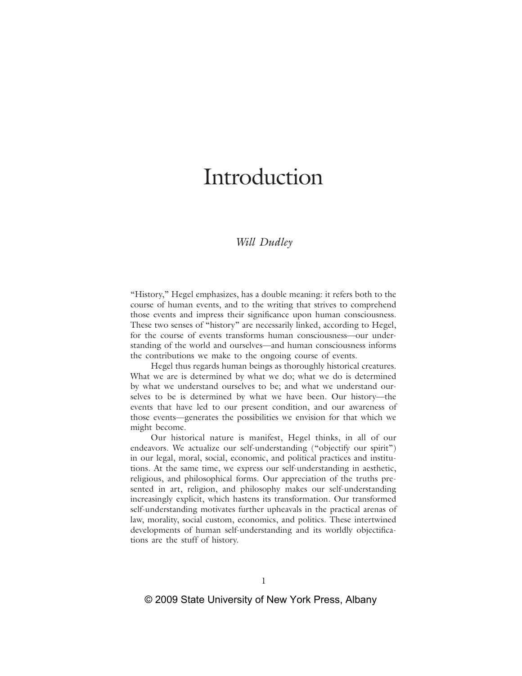# *Will Dudley*

"History," Hegel emphasizes, has a double meaning: it refers both to the course of human events, and to the writing that strives to comprehend those events and impress their significance upon human consciousness. These two senses of "history" are necessarily linked, according to Hegel, for the course of events transforms human consciousness—our understanding of the world and ourselves—and human consciousness informs the contributions we make to the ongoing course of events.

Hegel thus regards human beings as thoroughly historical creatures. What we are is determined by what we do; what we do is determined by what we understand ourselves to be; and what we understand ourselves to be is determined by what we have been. Our history—the events that have led to our present condition, and our awareness of those events—generates the possibilities we envision for that which we might become.

Our historical nature is manifest, Hegel thinks, in all of our endeavors. We actualize our self-understanding ("objectify our spirit") in our legal, moral, social, economic, and political practices and institutions. At the same time, we express our self-understanding in aesthetic, religious, and philosophical forms. Our appreciation of the truths presented in art, religion, and philosophy makes our self-understanding increasingly explicit, which hastens its transformation. Our transformed self-understanding motivates further upheavals in the practical arenas of law, morality, social custom, economics, and politics. These intertwined developments of human self-understanding and its worldly objectifications are the stuff of history.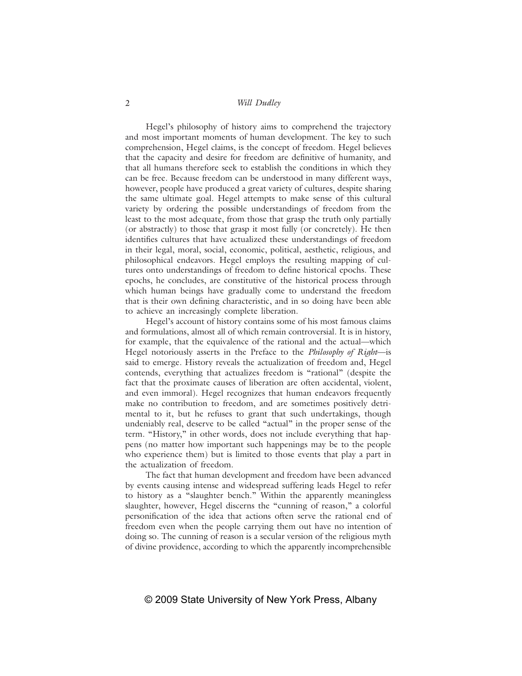#### 2 *Will Dudley*

Hegel's philosophy of history aims to comprehend the trajectory and most important moments of human development. The key to such comprehension, Hegel claims, is the concept of freedom. Hegel believes that the capacity and desire for freedom are definitive of humanity, and that all humans therefore seek to establish the conditions in which they can be free. Because freedom can be understood in many different ways, however, people have produced a great variety of cultures, despite sharing the same ultimate goal. Hegel attempts to make sense of this cultural variety by ordering the possible understandings of freedom from the least to the most adequate, from those that grasp the truth only partially (or abstractly) to those that grasp it most fully (or concretely). He then identifies cultures that have actualized these understandings of freedom in their legal, moral, social, economic, political, aesthetic, religious, and philosophical endeavors. Hegel employs the resulting mapping of cultures onto understandings of freedom to define historical epochs. These epochs, he concludes, are constitutive of the historical process through which human beings have gradually come to understand the freedom that is their own defining characteristic, and in so doing have been able to achieve an increasingly complete liberation.

Hegel's account of history contains some of his most famous claims and formulations, almost all of which remain controversial. It is in history, for example, that the equivalence of the rational and the actual—which Hegel notoriously asserts in the Preface to the *Philosophy of Right*—is said to emerge. History reveals the actualization of freedom and, Hegel contends, everything that actualizes freedom is "rational" (despite the fact that the proximate causes of liberation are often accidental, violent, and even immoral). Hegel recognizes that human endeavors frequently make no contribution to freedom, and are sometimes positively detrimental to it, but he refuses to grant that such undertakings, though undeniably real, deserve to be called "actual" in the proper sense of the term. "History," in other words, does not include everything that happens (no matter how important such happenings may be to the people who experience them) but is limited to those events that play a part in the actualization of freedom.

The fact that human development and freedom have been advanced by events causing intense and widespread suffering leads Hegel to refer to history as a "slaughter bench." Within the apparently meaningless slaughter, however, Hegel discerns the "cunning of reason," a colorful personification of the idea that actions often serve the rational end of freedom even when the people carrying them out have no intention of doing so. The cunning of reason is a secular version of the religious myth of divine providence, according to which the apparently incomprehensible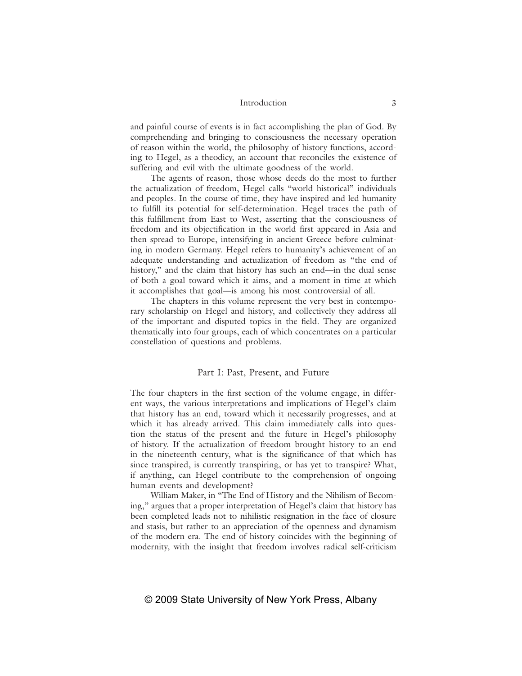and painful course of events is in fact accomplishing the plan of God. By comprehending and bringing to consciousness the necessary operation of reason within the world, the philosophy of history functions, according to Hegel, as a theodicy, an account that reconciles the existence of suffering and evil with the ultimate goodness of the world.

The agents of reason, those whose deeds do the most to further the actualization of freedom, Hegel calls "world historical" individuals and peoples. In the course of time, they have inspired and led humanity to fulfill its potential for self-determination. Hegel traces the path of this fulfillment from East to West, asserting that the consciousness of freedom and its objectification in the world first appeared in Asia and then spread to Europe, intensifying in ancient Greece before culminating in modern Germany. Hegel refers to humanity's achievement of an adequate understanding and actualization of freedom as "the end of history," and the claim that history has such an end—in the dual sense of both a goal toward which it aims, and a moment in time at which it accomplishes that goal—is among his most controversial of all.

The chapters in this volume represent the very best in contemporary scholarship on Hegel and history, and collectively they address all of the important and disputed topics in the field. They are organized thematically into four groups, each of which concentrates on a particular constellation of questions and problems.

# Part I: Past, Present, and Future

The four chapters in the first section of the volume engage, in different ways, the various interpretations and implications of Hegel's claim that history has an end, toward which it necessarily progresses, and at which it has already arrived. This claim immediately calls into question the status of the present and the future in Hegel's philosophy of history. If the actualization of freedom brought history to an end in the nineteenth century, what is the significance of that which has since transpired, is currently transpiring, or has yet to transpire? What, if anything, can Hegel contribute to the comprehension of ongoing human events and development?

William Maker, in "The End of History and the Nihilism of Becoming," argues that a proper interpretation of Hegel's claim that history has been completed leads not to nihilistic resignation in the face of closure and stasis, but rather to an appreciation of the openness and dynamism of the modern era. The end of history coincides with the beginning of modernity, with the insight that freedom involves radical self-criticism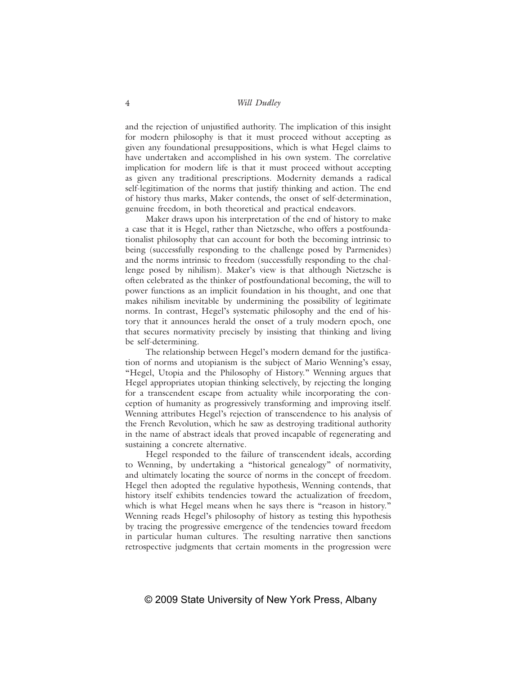#### 4 *Will Dudley*

and the rejection of unjustified authority. The implication of this insight for modern philosophy is that it must proceed without accepting as given any foundational presuppositions, which is what Hegel claims to have undertaken and accomplished in his own system. The correlative implication for modern life is that it must proceed without accepting as given any traditional prescriptions. Modernity demands a radical self-legitimation of the norms that justify thinking and action. The end of history thus marks, Maker contends, the onset of self-determination, genuine freedom, in both theoretical and practical endeavors.

Maker draws upon his interpretation of the end of history to make a case that it is Hegel, rather than Nietzsche, who offers a postfoundationalist philosophy that can account for both the becoming intrinsic to being (successfully responding to the challenge posed by Parmenides) and the norms intrinsic to freedom (successfully responding to the challenge posed by nihilism). Maker's view is that although Nietzsche is often celebrated as the thinker of postfoundational becoming, the will to power functions as an implicit foundation in his thought, and one that makes nihilism inevitable by undermining the possibility of legitimate norms. In contrast, Hegel's systematic philosophy and the end of history that it announces herald the onset of a truly modern epoch, one that secures normativity precisely by insisting that thinking and living be self-determining.

The relationship between Hegel's modern demand for the justification of norms and utopianism is the subject of Mario Wenning's essay, "Hegel, Utopia and the Philosophy of History." Wenning argues that Hegel appropriates utopian thinking selectively, by rejecting the longing for a transcendent escape from actuality while incorporating the conception of humanity as progressively transforming and improving itself. Wenning attributes Hegel's rejection of transcendence to his analysis of the French Revolution, which he saw as destroying traditional authority in the name of abstract ideals that proved incapable of regenerating and sustaining a concrete alternative.

Hegel responded to the failure of transcendent ideals, according to Wenning, by undertaking a "historical genealogy" of normativity, and ultimately locating the source of norms in the concept of freedom. Hegel then adopted the regulative hypothesis, Wenning contends, that history itself exhibits tendencies toward the actualization of freedom, which is what Hegel means when he says there is "reason in history." Wenning reads Hegel's philosophy of history as testing this hypothesis by tracing the progressive emergence of the tendencies toward freedom in particular human cultures. The resulting narrative then sanctions retrospective judgments that certain moments in the progression were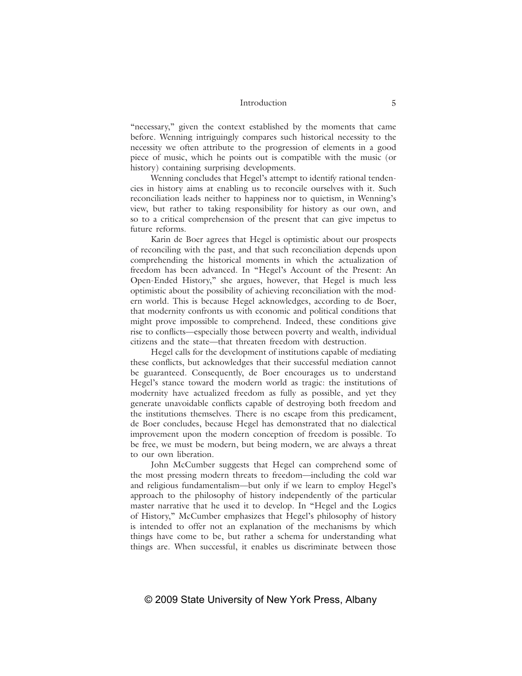"necessary," given the context established by the moments that came before. Wenning intriguingly compares such historical necessity to the necessity we often attribute to the progression of elements in a good piece of music, which he points out is compatible with the music (or history) containing surprising developments.

Wenning concludes that Hegel's attempt to identify rational tendencies in history aims at enabling us to reconcile ourselves with it. Such reconciliation leads neither to happiness nor to quietism, in Wenning's view, but rather to taking responsibility for history as our own, and so to a critical comprehension of the present that can give impetus to future reforms.

Karin de Boer agrees that Hegel is optimistic about our prospects of reconciling with the past, and that such reconciliation depends upon comprehending the historical moments in which the actualization of freedom has been advanced. In "Hegel's Account of the Present: An Open-Ended History," she argues, however, that Hegel is much less optimistic about the possibility of achieving reconciliation with the modern world. This is because Hegel acknowledges, according to de Boer, that modernity confronts us with economic and political conditions that might prove impossible to comprehend. Indeed, these conditions give rise to conflicts—especially those between poverty and wealth, individual citizens and the state—that threaten freedom with destruction.

Hegel calls for the development of institutions capable of mediating these conflicts, but acknowledges that their successful mediation cannot be guaranteed. Consequently, de Boer encourages us to understand Hegel's stance toward the modern world as tragic: the institutions of modernity have actualized freedom as fully as possible, and yet they generate unavoidable conflicts capable of destroying both freedom and the institutions themselves. There is no escape from this predicament, de Boer concludes, because Hegel has demonstrated that no dialectical improvement upon the modern conception of freedom is possible. To be free, we must be modern, but being modern, we are always a threat to our own liberation.

John McCumber suggests that Hegel can comprehend some of the most pressing modern threats to freedom—including the cold war and religious fundamentalism—but only if we learn to employ Hegel's approach to the philosophy of history independently of the particular master narrative that he used it to develop. In "Hegel and the Logics of History," McCumber emphasizes that Hegel's philosophy of history is intended to offer not an explanation of the mechanisms by which things have come to be, but rather a schema for understanding what things are. When successful, it enables us discriminate between those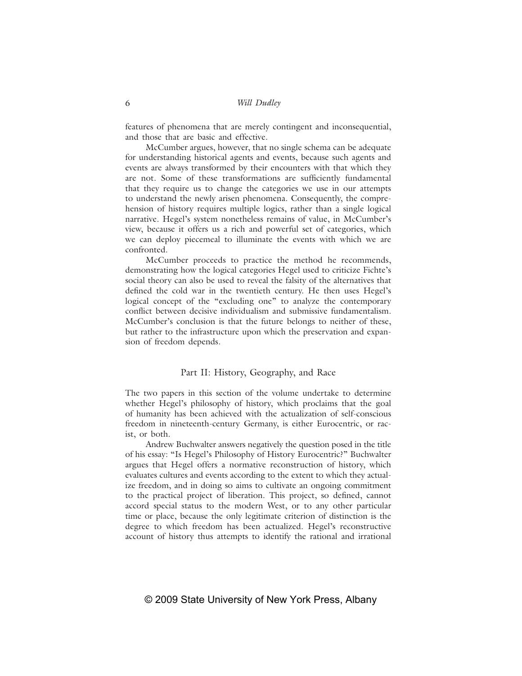features of phenomena that are merely contingent and inconsequential, and those that are basic and effective.

McCumber argues, however, that no single schema can be adequate for understanding historical agents and events, because such agents and events are always transformed by their encounters with that which they are not. Some of these transformations are sufficiently fundamental that they require us to change the categories we use in our attempts to understand the newly arisen phenomena. Consequently, the comprehension of history requires multiple logics, rather than a single logical narrative. Hegel's system nonetheless remains of value, in McCumber's view, because it offers us a rich and powerful set of categories, which we can deploy piecemeal to illuminate the events with which we are confronted.

McCumber proceeds to practice the method he recommends, demonstrating how the logical categories Hegel used to criticize Fichte's social theory can also be used to reveal the falsity of the alternatives that defined the cold war in the twentieth century. He then uses Hegel's logical concept of the "excluding one" to analyze the contemporary conflict between decisive individualism and submissive fundamentalism. McCumber's conclusion is that the future belongs to neither of these, but rather to the infrastructure upon which the preservation and expansion of freedom depends.

# Part II: History, Geography, and Race

The two papers in this section of the volume undertake to determine whether Hegel's philosophy of history, which proclaims that the goal of humanity has been achieved with the actualization of self-conscious freedom in nineteenth-century Germany, is either Eurocentric, or racist, or both.

Andrew Buchwalter answers negatively the question posed in the title of his essay: "Is Hegel's Philosophy of History Eurocentric?" Buchwalter argues that Hegel offers a normative reconstruction of history, which evaluates cultures and events according to the extent to which they actualize freedom, and in doing so aims to cultivate an ongoing commitment to the practical project of liberation. This project, so defined, cannot accord special status to the modern West, or to any other particular time or place, because the only legitimate criterion of distinction is the degree to which freedom has been actualized. Hegel's reconstructive account of history thus attempts to identify the rational and irrational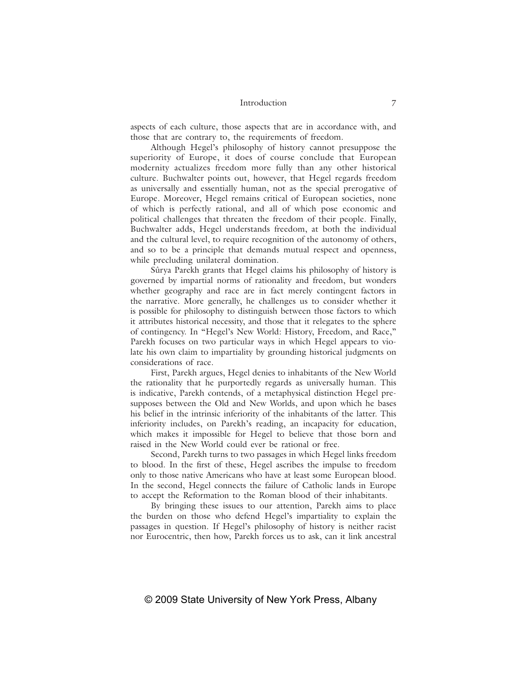aspects of each culture, those aspects that are in accordance with, and those that are contrary to, the requirements of freedom.

Although Hegel's philosophy of history cannot presuppose the superiority of Europe, it does of course conclude that European modernity actualizes freedom more fully than any other historical culture. Buchwalter points out, however, that Hegel regards freedom as universally and essentially human, not as the special prerogative of Europe. Moreover, Hegel remains critical of European societies, none of which is perfectly rational, and all of which pose economic and political challenges that threaten the freedom of their people. Finally, Buchwalter adds, Hegel understands freedom, at both the individual and the cultural level, to require recognition of the autonomy of others, and so to be a principle that demands mutual respect and openness, while precluding unilateral domination.

Sûrya Parekh grants that Hegel claims his philosophy of history is governed by impartial norms of rationality and freedom, but wonders whether geography and race are in fact merely contingent factors in the narrative. More generally, he challenges us to consider whether it is possible for philosophy to distinguish between those factors to which it attributes historical necessity, and those that it relegates to the sphere of contingency. In "Hegel's New World: History, Freedom, and Race," Parekh focuses on two particular ways in which Hegel appears to violate his own claim to impartiality by grounding historical judgments on considerations of race.

First, Parekh argues, Hegel denies to inhabitants of the New World the rationality that he purportedly regards as universally human. This is indicative, Parekh contends, of a metaphysical distinction Hegel presupposes between the Old and New Worlds, and upon which he bases his belief in the intrinsic inferiority of the inhabitants of the latter. This inferiority includes, on Parekh's reading, an incapacity for education, which makes it impossible for Hegel to believe that those born and raised in the New World could ever be rational or free.

Second, Parekh turns to two passages in which Hegel links freedom to blood. In the first of these, Hegel ascribes the impulse to freedom only to those native Americans who have at least some European blood. In the second, Hegel connects the failure of Catholic lands in Europe to accept the Reformation to the Roman blood of their inhabitants.

By bringing these issues to our attention, Parekh aims to place the burden on those who defend Hegel's impartiality to explain the passages in question. If Hegel's philosophy of history is neither racist nor Eurocentric, then how, Parekh forces us to ask, can it link ancestral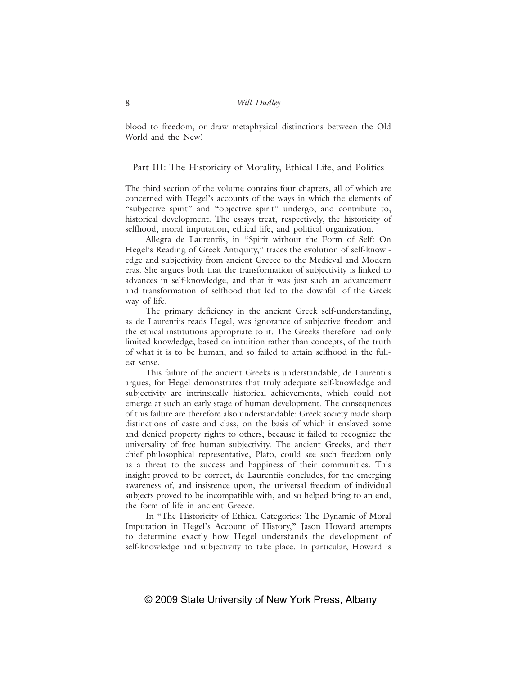blood to freedom, or draw metaphysical distinctions between the Old World and the New?

# Part III: The Historicity of Morality, Ethical Life, and Politics

The third section of the volume contains four chapters, all of which are concerned with Hegel's accounts of the ways in which the elements of "subjective spirit" and "objective spirit" undergo, and contribute to, historical development. The essays treat, respectively, the historicity of selfhood, moral imputation, ethical life, and political organization.

Allegra de Laurentiis, in "Spirit without the Form of Self: On Hegel's Reading of Greek Antiquity," traces the evolution of self-knowledge and subjectivity from ancient Greece to the Medieval and Modern eras. She argues both that the transformation of subjectivity is linked to advances in self-knowledge, and that it was just such an advancement and transformation of selfhood that led to the downfall of the Greek way of life.

The primary deficiency in the ancient Greek self-understanding, as de Laurentiis reads Hegel, was ignorance of subjective freedom and the ethical institutions appropriate to it. The Greeks therefore had only limited knowledge, based on intuition rather than concepts, of the truth of what it is to be human, and so failed to attain selfhood in the fullest sense.

This failure of the ancient Greeks is understandable, de Laurentiis argues, for Hegel demonstrates that truly adequate self-knowledge and subjectivity are intrinsically historical achievements, which could not emerge at such an early stage of human development. The consequences of this failure are therefore also understandable: Greek society made sharp distinctions of caste and class, on the basis of which it enslaved some and denied property rights to others, because it failed to recognize the universality of free human subjectivity. The ancient Greeks, and their chief philosophical representative, Plato, could see such freedom only as a threat to the success and happiness of their communities. This insight proved to be correct, de Laurentiis concludes, for the emerging awareness of, and insistence upon, the universal freedom of individual subjects proved to be incompatible with, and so helped bring to an end, the form of life in ancient Greece.

In "The Historicity of Ethical Categories: The Dynamic of Moral Imputation in Hegel's Account of History," Jason Howard attempts to determine exactly how Hegel understands the development of self-knowledge and subjectivity to take place. In particular, Howard is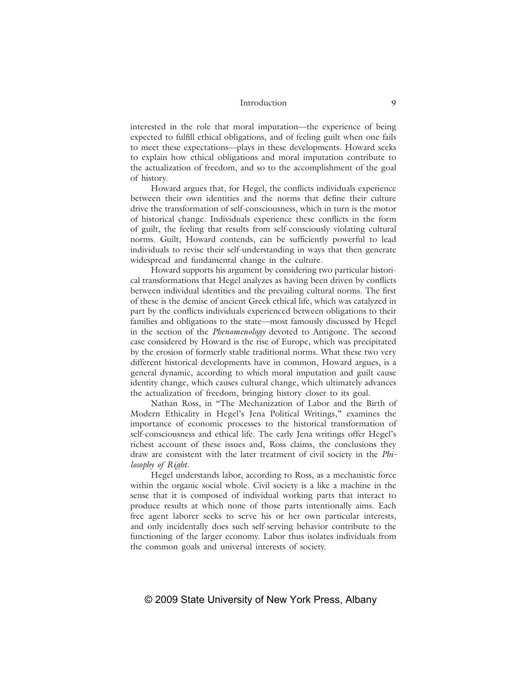interested in the role that moral imputation—the experience of being expected to fulfill ethical obligations, and of feeling guilt when one fails to meet these expectations—plays in these developments. Howard seeks to explain how ethical obligations and moral imputation contribute to the actualization of freedom, and so to the accomplishment of the goal of history.

Howard argues that, for Hegel, the conflicts individuals experience between their own identities and the norms that define their culture drive the transformation of self-consciousness, which in turn is the motor of historical change. Individuals experience these conflicts in the form of guilt, the feeling that results from self-consciously violating cultural norms. Guilt, Howard contends, can be sufficiently powerful to lead individuals to revise their self-understanding in ways that then generate widespread and fundamental change in the culture.

Howard supports his argument by considering two particular historical transformations that Hegel analyzes as having been driven by conflicts between individual identities and the prevailing cultural norms. The first of these is the demise of ancient Greek ethical life, which was catalyzed in part by the conflicts individuals experienced between obligations to their families and obligations to the state—most famously discussed by Hegel in the section of the *Phenomenology* devoted to Antigone. The second case considered by Howard is the rise of Europe, which was precipitated by the erosion of formerly stable traditional norms. What these two very different historical developments have in common, Howard argues, is a general dynamic, according to which moral imputation and guilt cause identity change, which causes cultural change, which ultimately advances the actualization of freedom, bringing history closer to its goal.

Nathan Ross, in "The Mechanization of Labor and the Birth of Modern Ethicality in Hegel's Jena Political Writings," examines the importance of economic processes to the historical transformation of self-consciousness and ethical life. The early Jena writings offer Hegel's richest account of these issues and, Ross claims, the conclusions they draw are consistent with the later treatment of civil society in the *Philosophy of Right*.

Hegel understands labor, according to Ross, as a mechanistic force within the organic social whole. Civil society is a like a machine in the sense that it is composed of individual working parts that interact to produce results at which none of those parts intentionally aims. Each free agent laborer seeks to serve his or her own particular interests, and only incidentally does such self-serving behavior contribute to the functioning of the larger economy. Labor thus isolates individuals from the common goals and universal interests of society.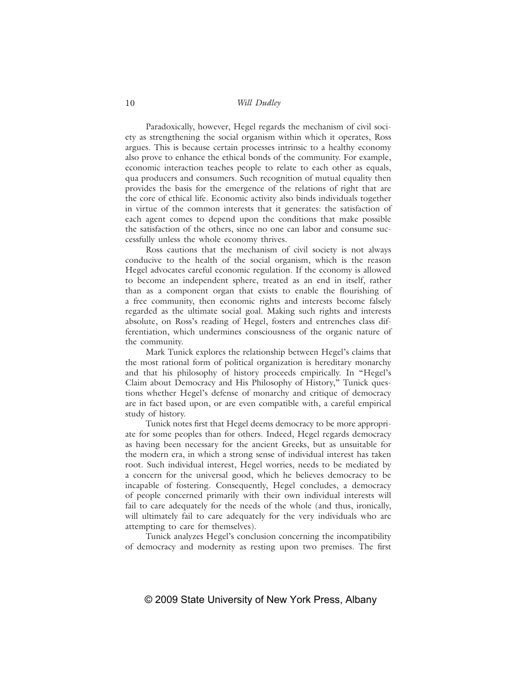#### 10 *Will Dudley*

Paradoxically, however, Hegel regards the mechanism of civil society as strengthening the social organism within which it operates, Ross argues. This is because certain processes intrinsic to a healthy economy also prove to enhance the ethical bonds of the community. For example, economic interaction teaches people to relate to each other as equals, qua producers and consumers. Such recognition of mutual equality then provides the basis for the emergence of the relations of right that are the core of ethical life. Economic activity also binds individuals together in virtue of the common interests that it generates: the satisfaction of each agent comes to depend upon the conditions that make possible the satisfaction of the others, since no one can labor and consume successfully unless the whole economy thrives.

Ross cautions that the mechanism of civil society is not always conducive to the health of the social organism, which is the reason Hegel advocates careful economic regulation. If the economy is allowed to become an independent sphere, treated as an end in itself, rather than as a component organ that exists to enable the flourishing of a free community, then economic rights and interests become falsely regarded as the ultimate social goal. Making such rights and interests absolute, on Ross's reading of Hegel, fosters and entrenches class differentiation, which undermines consciousness of the organic nature of the community.

Mark Tunick explores the relationship between Hegel's claims that the most rational form of political organization is hereditary monarchy and that his philosophy of history proceeds empirically. In "Hegel's Claim about Democracy and His Philosophy of History," Tunick questions whether Hegel's defense of monarchy and critique of democracy are in fact based upon, or are even compatible with, a careful empirical study of history.

Tunick notes first that Hegel deems democracy to be more appropriate for some peoples than for others. Indeed, Hegel regards democracy as having been necessary for the ancient Greeks, but as unsuitable for the modern era, in which a strong sense of individual interest has taken root. Such individual interest, Hegel worries, needs to be mediated by a concern for the universal good, which he believes democracy to be incapable of fostering. Consequently, Hegel concludes, a democracy of people concerned primarily with their own individual interests will fail to care adequately for the needs of the whole (and thus, ironically, will ultimately fail to care adequately for the very individuals who are attempting to care for themselves).

Tunick analyzes Hegel's conclusion concerning the incompatibility of democracy and modernity as resting upon two premises. The first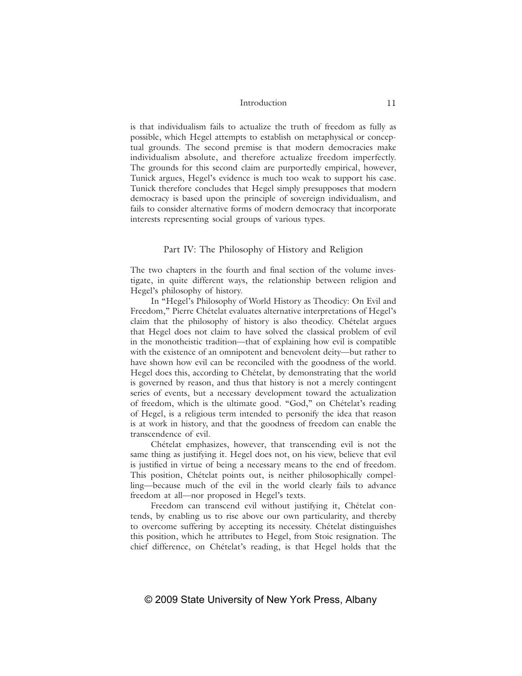is that individualism fails to actualize the truth of freedom as fully as possible, which Hegel attempts to establish on metaphysical or conceptual grounds. The second premise is that modern democracies make individualism absolute, and therefore actualize freedom imperfectly. The grounds for this second claim are purportedly empirical, however, Tunick argues, Hegel's evidence is much too weak to support his case. Tunick therefore concludes that Hegel simply presupposes that modern democracy is based upon the principle of sovereign individualism, and fails to consider alternative forms of modern democracy that incorporate interests representing social groups of various types.

# Part IV: The Philosophy of History and Religion

The two chapters in the fourth and final section of the volume investigate, in quite different ways, the relationship between religion and Hegel's philosophy of history.

In "Hegel's Philosophy of World History as Theodicy: On Evil and Freedom," Pierre Chételat evaluates alternative interpretations of Hegel's claim that the philosophy of history is also theodicy. Chételat argues that Hegel does not claim to have solved the classical problem of evil in the monotheistic tradition—that of explaining how evil is compatible with the existence of an omnipotent and benevolent deity—but rather to have shown how evil can be reconciled with the goodness of the world. Hegel does this, according to Chételat, by demonstrating that the world is governed by reason, and thus that history is not a merely contingent series of events, but a necessary development toward the actualization of freedom, which is the ultimate good. "God," on Chételat's reading of Hegel, is a religious term intended to personify the idea that reason is at work in history, and that the goodness of freedom can enable the transcendence of evil.

Chételat emphasizes, however, that transcending evil is not the same thing as justifying it. Hegel does not, on his view, believe that evil is justified in virtue of being a necessary means to the end of freedom. This position, Chételat points out, is neither philosophically compelling—because much of the evil in the world clearly fails to advance freedom at all—nor proposed in Hegel's texts.

Freedom can transcend evil without justifying it, Chételat contends, by enabling us to rise above our own particularity, and thereby to overcome suffering by accepting its necessity. Chételat distinguishes this position, which he attributes to Hegel, from Stoic resignation. The chief difference, on Chételat's reading, is that Hegel holds that the